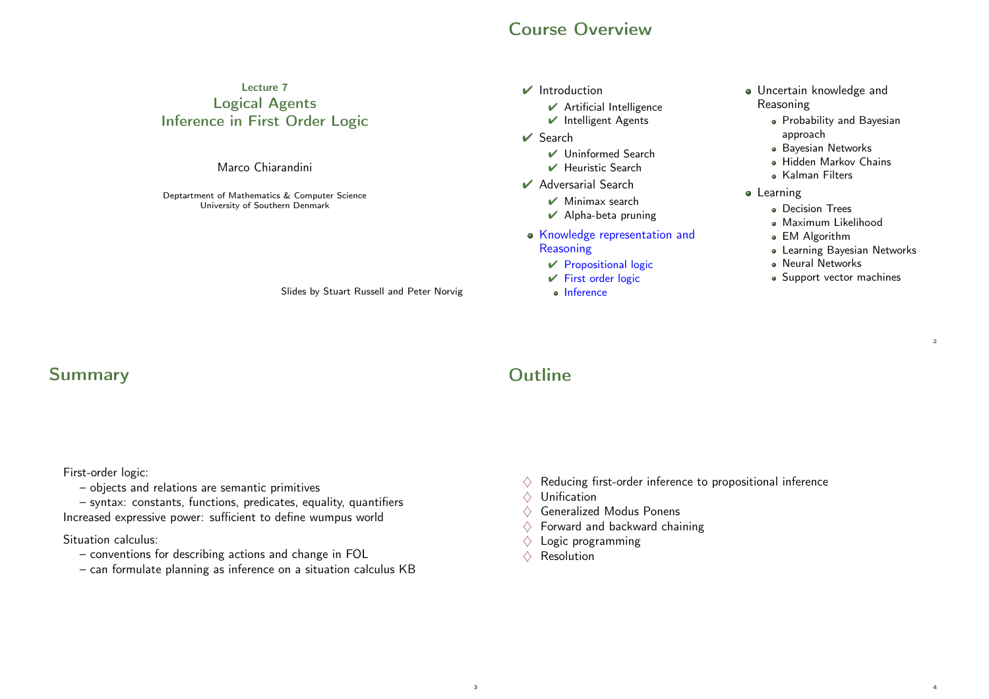### Course Overview

#### Lecture 7 Logical Agents Inference in First Order Logic

Marco Chiarandini

Deptartment of Mathematics & Computer Science University of Southern Denmark

Slides by Stuart Russell and Peter Norvig

#### $\vee$  Introduction

- $\vee$  Artificial Intelligence
- ✔ Intelligent Agents
- ✔ Search
	- ✔ Uninformed Search
	- $\vee$  Heuristic Search
- $\vee$  Adversarial Search
	- $\vee$  Minimax search
	- $\vee$  Alpha-beta pruning
- Knowledge representation and **Reasoning** 
	- $\vee$  Propositional logic
	- $V$  First order logic
	- o Inference
- Uncertain knowledge and Reasoning
	- Probability and Bayesian approach
	- **Bayesian Networks**
	- Hidden Markov Chains
	- Kalman Filters
- **•** Learning
	- Decision Trees
	- Maximum Likelihood
	- EM Algorithm
	- Learning Bayesian Networks

 $\overline{2}$ 

4

- **A** Neural Networks
- Support vector machines

#### Summary

First-order logic:

– objects and relations are semantic primitives

– syntax: constants, functions, predicates, equality, quantifiers Increased expressive power: sufficient to define wumpus world

#### Situation calculus:

- conventions for describing actions and change in FOL
- can formulate planning as inference on a situation calculus KB

# **Outline**

- $\diamondsuit$  Reducing first-order inference to propositional inference
- $\Diamond$  Unification
- $\Diamond$  Generalized Modus Ponens
- $\Diamond$  Forward and backward chaining
- $\Diamond$  Logic programming
- $\Diamond$  Resolution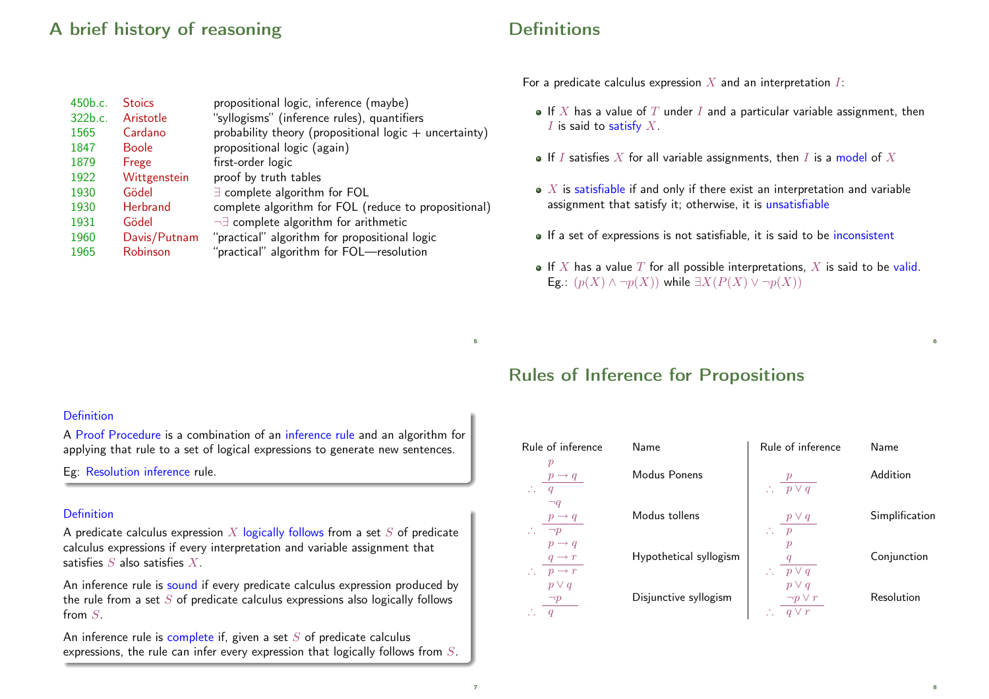## A brief history of reasoning

450b.c. Stoics propositional logic, inference (maybe) 322b.c. Aristotle "syllogisms" (inference rules), quantifiers

1931 Gödel ¬∃ complete algorithm for arithmetic 1960 Davis/Putnam "practical" algorithm for propositional logic 1965 Robinson "practical" algorithm for FOL—resolution

1847 Boole propositional logic (again)

Wittgenstein proof by truth tables 1930 Gödel ∃ complete algorithm for FOL

1879 Frege first-order logic<br>1922 Wittgenstein proof by truth t

 $1565$  Cardano probability theory (propositional logic + uncertainty)

1930 Herbrand complete algorithm for FOL (reduce to propositional)

|  | <b>Definitions</b> |
|--|--------------------|
|  |                    |
|  |                    |

For a predicate calculus expression  $X$  and an interpretation  $I$ :

- $\bullet$  If X has a value of T under I and a particular variable assignment, then  $I$  is said to satisfy  $X$ .
- $\bullet$  If I satisfies X for all variable assignments, then I is a model of X
- $\bullet$  X is satisfiable if and only if there exist an interpretation and variable assignment that satisfy it; otherwise, it is unsatisfiable
- If a set of expressions is not satisfiable, it is said to be inconsistent
- If X has a value T for all possible interpretations, X is said to be valid. Eg.:  $(p(X) \wedge \neg p(X))$  while  $\exists X(P(X) \vee \neg p(X))$

6

8

# **Definition**

A Proof Procedure is a combination of an inference rule and an algorithm for applying that rule to a set of logical expressions to generate new sentences.

Eg: Resolution inference rule.

#### Definition

A predicate calculus expression  $X$  logically follows from a set  $S$  of predicate calculus expressions if every interpretation and variable assignment that satisfies  $S$  also satisfies  $X$ .

An inference rule is sound if every predicate calculus expression produced by the rule from a set  $S$  of predicate calculus expressions also logically follows from S.

An inference rule is complete if, given a set  $S$  of predicate calculus expressions, the rule can infer every expression that logically follows from S.

#### Rules of Inference for Propositions

| Rule of inference                                                        | Name                   | Rule of inference                           | Name           |
|--------------------------------------------------------------------------|------------------------|---------------------------------------------|----------------|
| $\, p \,$<br>$p \rightarrow q$<br>q                                      | Modus Ponens           | $\therefore$ $\overline{p \vee q}$          | Addition       |
| $\neg q$<br>$p \rightarrow q$<br>Z.<br>$\neg p$                          | Modus tollens          | $p \vee q$<br>Ω.<br>$\overline{p}$          | Simplification |
| $p \rightarrow q$<br>$q \rightarrow r$<br>$\therefore$ $p \rightarrow r$ | Hypothetical syllogism | $\mathcal{P}$<br>$\therefore$ $p \vee q$    | Conjunction    |
| $p \vee q$<br>$\neg p$                                                   | Disjunctive syllogism  | $p \vee q$<br>$\neg p \vee r$<br>$a \vee r$ | Resolution     |

#### 7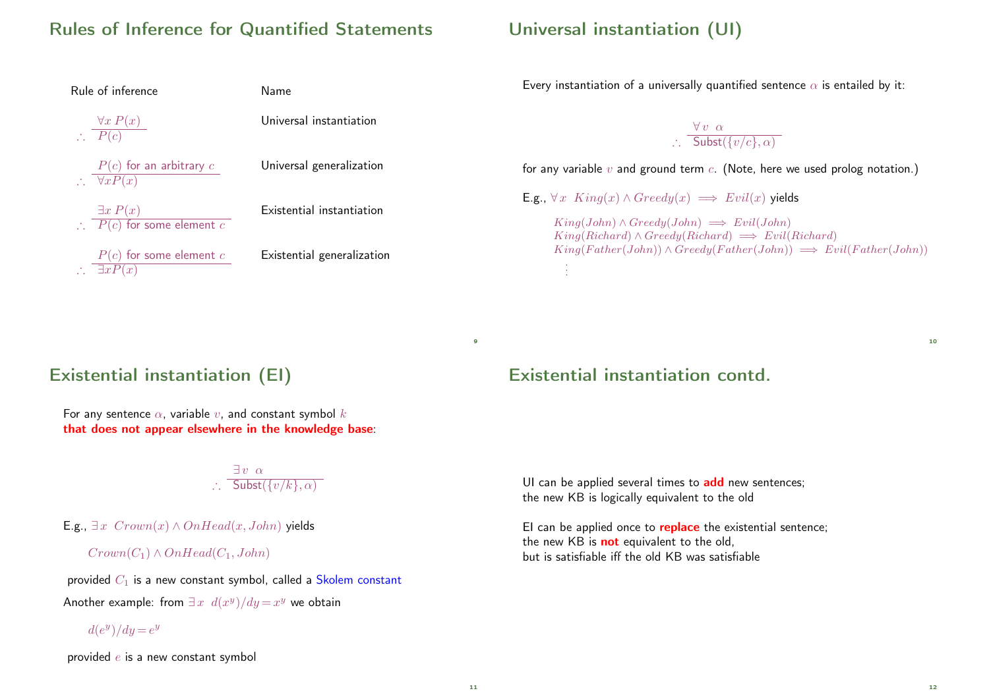## Rules of Inference for Quantified Statements

| Rule of inference                                                | Name                       |  |
|------------------------------------------------------------------|----------------------------|--|
| $\frac{\forall x P(x)}{P(c)}$                                    | Universal instantiation    |  |
| $P(c)$ for an arbitrary $c$<br>$\therefore \quad \forall x P(x)$ | Universal generalization   |  |
| $\exists x P(x)$<br>$\therefore$ $P(c)$ for some element c       | Existential instantiation  |  |
| $P(c)$ for some element $c$<br>$\exists x P(x)$                  | Existential generalization |  |

## Universal instantiation (UI)

Every instantiation of a universally quantified sentence  $\alpha$  is entailed by it:

 $\forall v \alpha$  $\therefore$  Subst $(\{v/c\}, \alpha)$ 

for any variable  $v$  and ground term  $c$ . (Note, here we used prolog notation.)

E.g.,  $\forall x \space King(x) \land Greedy(x) \implies Evil(x)$  yields

 $King(John) \wedge Greedy(John) \implies Evil(John)$  $King(Richard) \wedge Greedy(Richard) \implies Evil(Richard)$  $King(Father(John)) \wedge Greedy(Father(John)) \implies Evil(Father(John))$ . . .

### Existential instantiation (EI)

For any sentence  $\alpha$ , variable v, and constant symbol k that does not appear elsewhere in the knowledge base:

> $\exists v \alpha$  $\therefore$  Subst $(\{v/k\}, \alpha)$

E.g.,  $\exists x \; Crown(x) \land OnHead(x, John)$  yields

 $Crown(C_1) \wedge OnHead(C_1, John)$ 

provided  $C_1$  is a new constant symbol, called a Skolem constant Another example: from  $\exists x \ d(x^y)/dy = x^y$  we obtain

 $d(e^y)/dy = e^y$ 

provided  $e$  is a new constant symbol

## Existential instantiation contd.

UI can be applied several times to add new sentences; the new KB is logically equivalent to the old

EI can be applied once to **replace** the existential sentence; the new KB is **not** equivalent to the old, but is satisfiable iff the old KB was satisfiable

 $\overline{9}$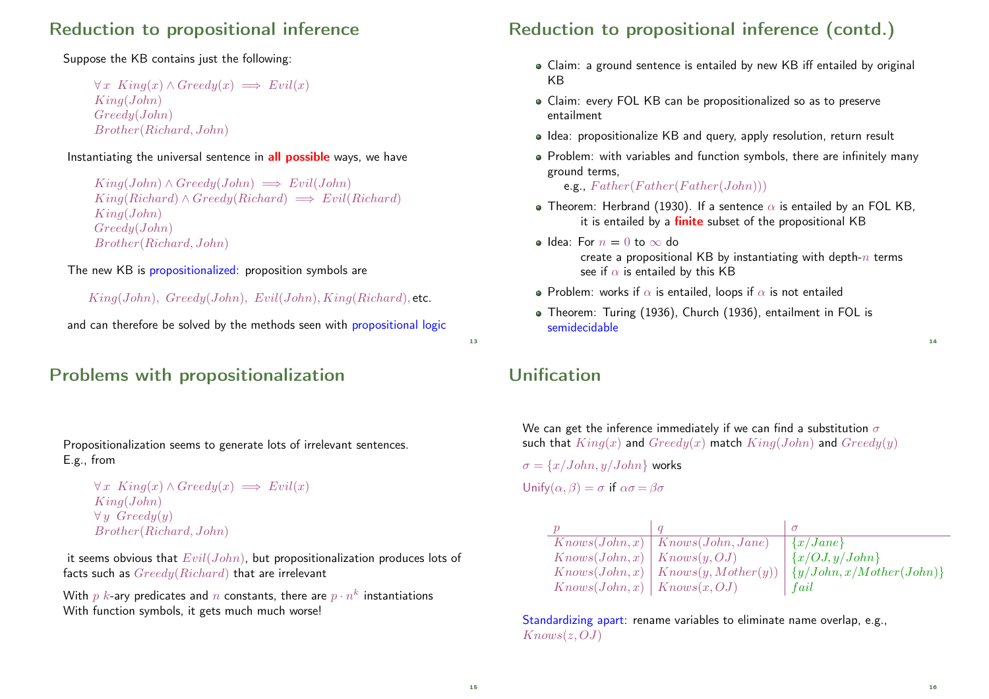## Reduction to propositional inference

#### Suppose the KB contains just the following:

 $\forall x \space King(x) \land Greedy(x) \implies Evil(x)$ King(John) Greedy(John) Brother(Richard, John)

#### Instantiating the universal sentence in **all possible** ways, we have

```
King(John) \wedge Greedu(John) \implies Evil(John)King(Richard) \wedge Greedy(Richard) \implies Evil(Richard)King(John)
Greedy(John)
Brother(Richard, John)
```
#### The new KB is propositionalized: proposition symbols are

 $King(John)$ ,  $Greedy(John)$ ,  $Evil(John)$ ,  $King(Richard)$ , etc.

and can therefore be solved by the methods seen with **propositional logic** 

# Problems with propositionalization

#### Propositionalization seems to generate lots of irrelevant sentences. E.g., from

```
\forall x \space King(x) \land Greedy(x) \implies Evil(x)King(John)
\forall y \; Greedy(y)Brother(Richard, John)
```
it seems obvious that  $Evil(John)$ , but propositionalization produces lots of facts such as  $Greedy(Richard)$  that are irrelevant

With  $p$   $k$ -ary predicates and  $n$  constants, there are  $p\cdot n^k$  instantiations With function symbols, it gets much much worse!

# Reduction to propositional inference (contd.)

- Claim: a ground sentence is entailed by new KB iff entailed by original KB
- Claim: every FOL KB can be propositionalized so as to preserve entailment
- Idea: propositionalize KB and query, apply resolution, return result
- Problem: with variables and function symbols, there are infinitely many ground terms,

e.g.,  $Father(Father(Father(John)))$ 

- Theorem: Herbrand (1930). If a sentence  $\alpha$  is entailed by an FOL KB, it is entailed by a *finite* subset of the propositional KB
- $\bullet$  Idea: For  $n = 0$  to  $\infty$  do create a propositional KB by instantiating with depth- $n$  terms see if  $\alpha$  is entailed by this KB
- Problem: works if  $\alpha$  is entailed, loops if  $\alpha$  is not entailed
- Theorem: Turing (1936), Church (1936), entailment in FOL is semidecidable

## Unification

We can get the inference immediately if we can find a substitution  $\sigma$ such that  $King(x)$  and  $Greedy(x)$  match  $King(John)$  and  $Greedy(y)$ 

 $\sigma = \{x/John, y/John\}$  works Unify $(\alpha, \beta) = \sigma$  if  $\alpha \sigma = \beta \sigma$ 

|                               | Knows(John, x)   Knows(John, Jane) | $\vert \{x/Jane\} \vert$                                          |
|-------------------------------|------------------------------------|-------------------------------------------------------------------|
| Knows(John, x)   Knows(y, OJ) |                                    | $\{x/OJ, y/John\}$                                                |
|                               |                                    | $Knows(John, x)   Knows(y, Mother(y))   {y/John, x/Mother(John)}$ |
| Knows(John, x)   Knows(x, OJ) |                                    | fail                                                              |

Standardizing apart: rename variables to eliminate name overlap, e.g.,  $Knows(z, OJ)$ 

13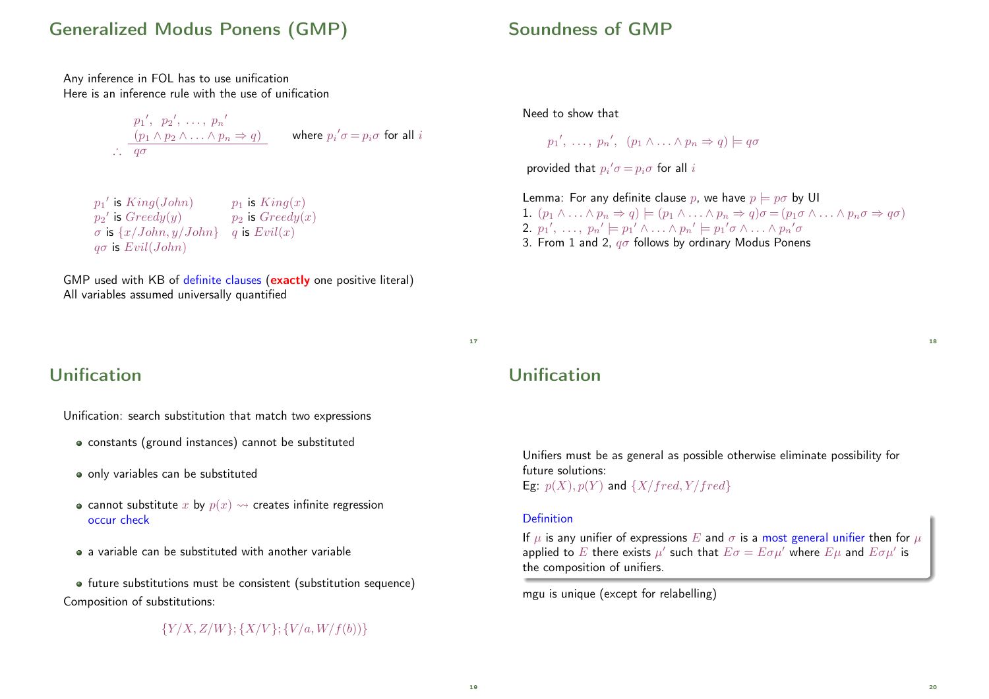### Generalized Modus Ponens (GMP)

Any inference in FOL has to use unification Here is an inference rule with the use of unification

> $p_1', p_2', \ldots, p_n'$  $(p_1 \wedge p_2 \wedge \ldots \wedge p_n \Rightarrow q)$ ∴  $q\sigma$ where  $p_{i}{'}\sigma\!=\!p_{i}\sigma$  for all  $i$

 $p_1{}'$  $p_1$  is  $King(x)$  $p_2{}'$  $p_2$  is  $Greedy(x)$  $\sigma$  is  $\{x/John, y/John\}$  q is  $Evil(x)$  $q\sigma$  is  $Evil(John)$ 

GMP used with KB of definite clauses (exactly one positive literal) All variables assumed universally quantified

## Unification

Unification: search substitution that match two expressions

- constants (ground instances) cannot be substituted
- only variables can be substituted
- cannot substitute x by  $p(x) \rightarrow$  creates infinite regression occur check
- a variable can be substituted with another variable

future substitutions must be consistent (substitution sequence) Composition of substitutions:

#### ${Y/X, Z/W}; {X/V}; {V/a, W/f(b)}$

### Soundness of GMP

Need to show that

$$
p_1', \ldots, p_n', (p_1 \wedge \ldots \wedge p_n \Rightarrow q) \models q\sigma
$$

provided that  $p_{i}{'}\sigma\!=\!p_{i}\sigma$  for all  $i$ 

Lemma: For any definite clause p, we have  $p \models p\sigma$  by UI 1.  $(p_1 \wedge \ldots \wedge p_n \Rightarrow q) \models (p_1 \wedge \ldots \wedge p_n \Rightarrow q) \sigma = (p_1 \sigma \wedge \ldots \wedge p_n \sigma \Rightarrow q \sigma)$ 2.  $p_1', \ldots, p_n' \models p_1' \land \ldots \land p_n' \models p_1' \sigma \land \ldots \land p_n' \sigma$ 3. From 1 and 2,  $q\sigma$  follows by ordinary Modus Ponens

17

## Unification

Unifiers must be as general as possible otherwise eliminate possibility for future solutions: Eg:  $p(X)$ ,  $p(Y)$  and  $\{X/fred, Y/fred\}$ 

#### Definition

If  $\mu$  is any unifier of expressions E and  $\sigma$  is a most general unifier then for  $\mu$ applied to  $E$  there exists  $\mu'$  such that  $E\sigma=E\sigma\mu'$  where  $E\mu$  and  $E\sigma\mu'$  is the composition of unifiers.

mgu is unique (except for relabelling)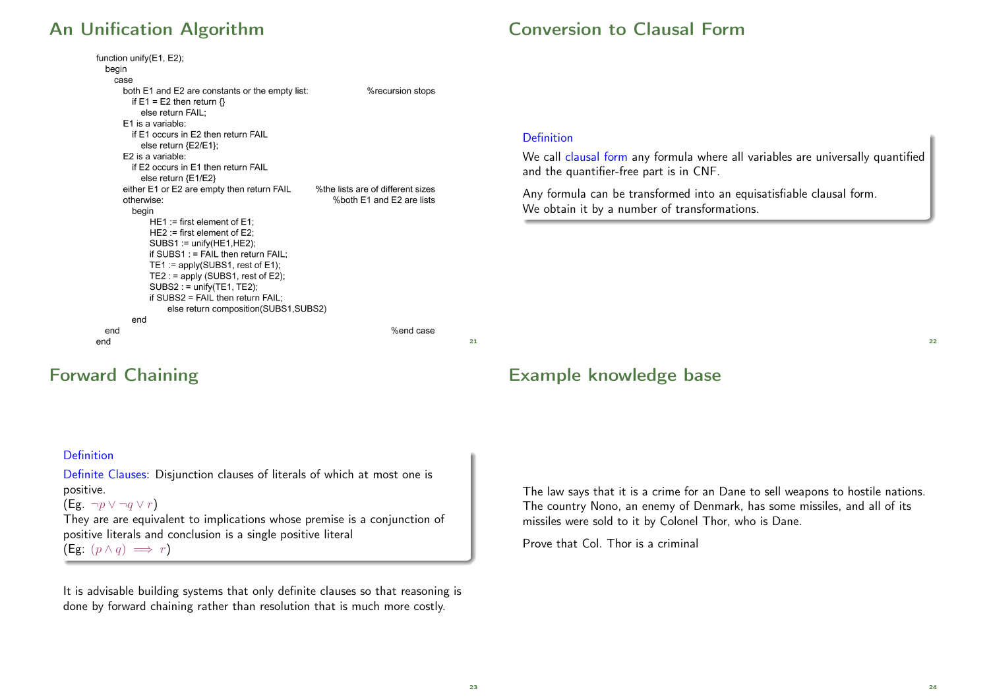# An Unification Algorithm

## Conversion to Clausal Form

|       | function unify(E1, E2);                         |                                   |
|-------|-------------------------------------------------|-----------------------------------|
| begin |                                                 |                                   |
| case  |                                                 |                                   |
|       | both E1 and E2 are constants or the empty list: | %recursion stops                  |
|       | if E1 = E2 then return $\{\}$                   |                                   |
|       | else return FAIL:                               |                                   |
|       | E1 is a variable:                               |                                   |
|       | if E1 occurs in E2 then return FAIL             |                                   |
|       | else return $\{E2/E1\}$ ;                       |                                   |
|       | E2 is a variable:                               |                                   |
|       | if E2 occurs in E1 then return FAIL             |                                   |
|       | else return {E1/E2}                             |                                   |
|       | either E1 or E2 are empty then return FAIL      | %the lists are of different sizes |
|       | otherwise:                                      | %both E1 and E2 are lists         |
|       | begin                                           |                                   |
|       | $HE1 :=$ first element of $E1$ :                |                                   |
|       | $HE2 := first element of E2$ :                  |                                   |
|       | $SUBS1 := unify(HE1, HE2);$                     |                                   |
|       | if SUBS1 : $=$ FAIL then return FAIL;           |                                   |
|       | TE1: = apply(SUBS1, rest of E1);                |                                   |
|       | TE2: $=$ apply (SUBS1, rest of E2);             |                                   |
|       | $SUBS2 := unify(TE1, TE2);$                     |                                   |
|       | if SUBS2 = FAIL then return $FAIL$ ;            |                                   |
|       | else return composition (SUBS1, SUBS2)          |                                   |
|       | end                                             |                                   |
| end   |                                                 | %end case                         |
| end   |                                                 |                                   |

#### Definition

We call clausal form any formula where all variables are universally quantified and the quantifier-free part is in CNF.

Any formula can be transformed into an equisatisfiable clausal form. We obtain it by a number of transformations.

### Forward Chaining

#### Example knowledge base

The law says that it is a crime for an Dane to sell weapons to hostile nations. The country Nono, an enemy of Denmark, has some missiles, and all of its missiles were sold to it by Colonel Thor, who is Dane.

Prove that Col. Thor is a criminal

# $22$

#### Definition

Definite Clauses: Disjunction clauses of literals of which at most one is positive.

#### (Eg.  $\neg p \lor \neg q \lor r$ )

They are are equivalent to implications whose premise is a conjunction of positive literals and conclusion is a single positive literal (Eg:  $(p \wedge q) \implies r$ )

It is advisable building systems that only definite clauses so that reasoning is done by forward chaining rather than resolution that is much more costly.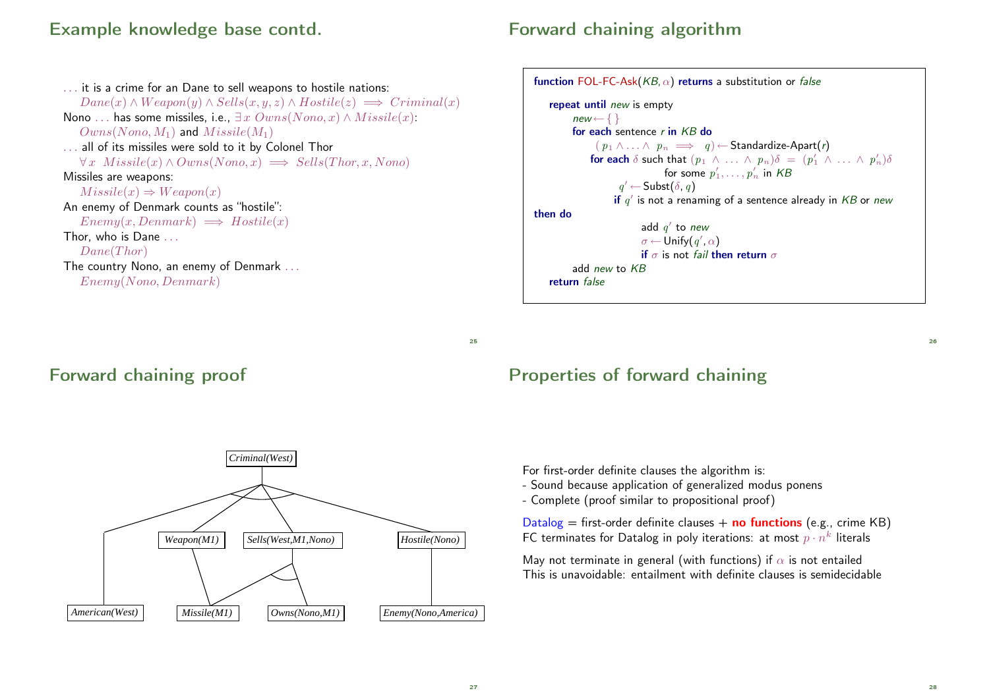## Example knowledge base contd.

## Forward chaining algorithm

. . . it is a crime for an Dane to sell weapons to hostile nations:  $Dane(x) \wedge Weapon(y) \wedge Sells(x, y, z) \wedge Hostile(z) \implies Criminal(x)$ Nono ... has some missiles, i.e.,  $\exists x \, Owns(Nono, x) \land Missile(x)$ :  $Owns(Nono, M_1)$  and  $Missile(M_1)$ . . . all of its missiles were sold to it by Colonel Thor  $\forall x \; \textit{Missile}(x) \land \textit{Owns}(Nono, x) \implies \textit{Sells}(Thor, x, Nono)$ Missiles are weapons:  $Missile(x) \Rightarrow Weapon(x)$ An enemy of Denmark counts as "hostile":  $Enew(x, Denmark) \implies Hostile(x)$ Thor, who is Dane . . .  $Dane(Thor)$ The country Nono, an enemy of Denmark ... Enemy(Nono, Denmark)



 $25$ 

#### Forward chaining proof



#### Properties of forward chaining

For first-order definite clauses the algorithm is:

- Sound because application of generalized modus ponens
- Complete (proof similar to propositional proof)

Datalog = first-order definite clauses + **no functions** (e.g., crime KB) FC terminates for Datalog in poly iterations: at most  $p\cdot n^k$  literals

May not terminate in general (with functions) if  $\alpha$  is not entailed This is unavoidable: entailment with definite clauses is semidecidable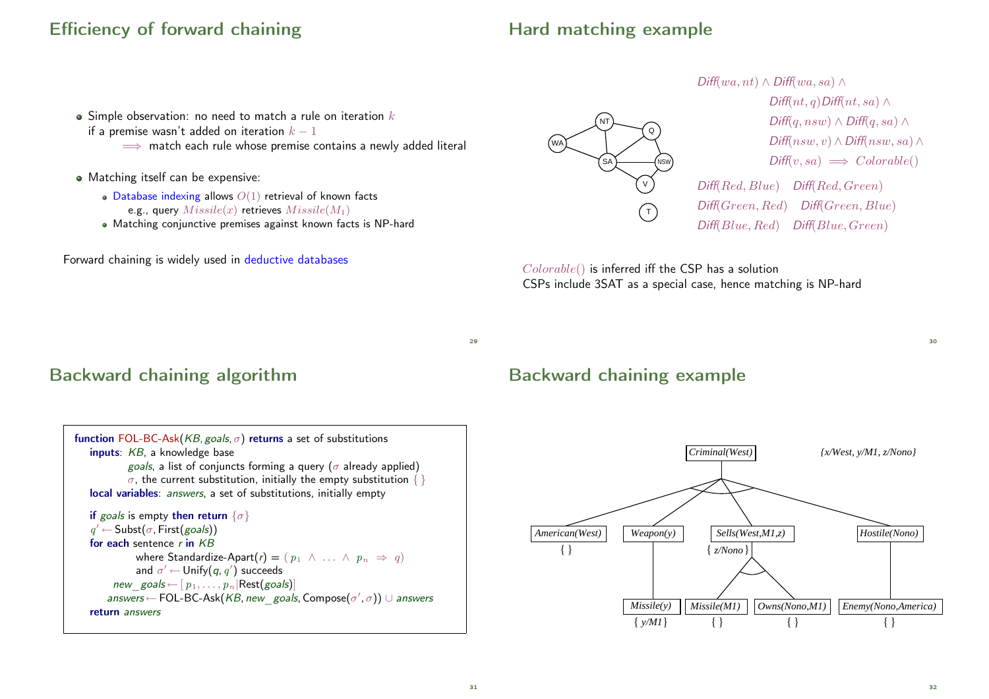# Efficiency of forward chaining

# Hard matching example

- $\bullet$  Simple observation: no need to match a rule on iteration  $k$
- if a premise wasn't added on iteration  $k 1$ 
	- $\implies$  match each rule whose premise contains a newly added literal
- Matching itself can be expensive:
	- $\bullet$  Database indexing allows  $O(1)$  retrieval of known facts e.g., query  $Missile(x)$  retrieves  $Missile(M_1)$
	- Matching conjunctive premises against known facts is NP-hard

Forward chaining is widely used in deductive databases



Colorable() is inferred iff the CSP has a solution CSPs include 3SAT as a special case, hence matching is NP-hard

 $29$ 

# Backward chaining algorithm



### Backward chaining example



32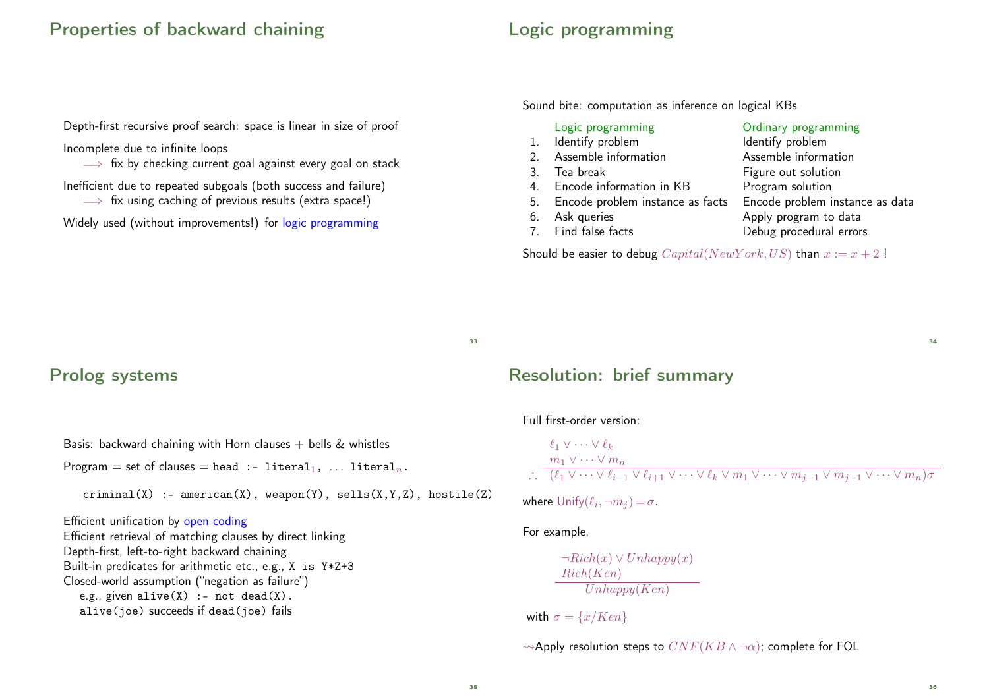#### Properties of backward chaining

## Logic programming

Depth-first recursive proof search: space is linear in size of proof

#### Incomplete due to infinite loops

 $\implies$  fix by checking current goal against every goal on stack

Inefficient due to repeated subgoals (both success and failure)

 $\implies$  fix using caching of previous results (extra space!)

Widely used (without improvements!) for logic programming

Sound bite: computation as inference on logical KBs

| Logic programming                   | Ordinary programming            |
|-------------------------------------|---------------------------------|
| 1. Identify problem                 | Identify problem                |
| 2. Assemble information             | Assemble information            |
| 3. Tea break                        | Figure out solution             |
| 4. Encode information in KB         | Program solution                |
| 5. Encode problem instance as facts | Encode problem instance as data |
| 6. Ask queries                      | Apply program to data           |
| 7. Find false facts                 | Debug procedural errors         |

Should be easier to debug  $Capital(NewYork, US)$  than  $x := x + 2$ !

33

#### Prolog systems

Basis: backward chaining with Horn clauses  $+$  bells & whistles

Program = set of clauses = head :- literal<sub>1</sub>, ... literal<sub>n</sub>.

 $criminal(X)$  :- american $(X)$ , weapon $(Y)$ , sells $(X,Y,Z)$ , hostile $(Z)$ .

#### Efficient unification by open coding

Efficient retrieval of matching clauses by direct linking Depth-first, left-to-right backward chaining Built-in predicates for arithmetic etc., e.g., X is Y\*Z+3 Closed-world assumption ("negation as failure") e.g., given alive $(X)$  :- not dead $(X)$ . alive(joe) succeeds if dead(joe) fails

#### Resolution: brief summary

#### Full first-order version:

$$
\begin{array}{l}\n\ell_1 \vee \cdots \vee \ell_k \\
\vdots \\
\vdots \\
\hline\n\ell_1 \vee \cdots \vee m_n\n\end{array}
$$
\n
$$
\therefore \quad \frac{m_1 \vee \cdots \vee m_n}{(\ell_1 \vee \cdots \vee \ell_{i-1} \vee \ell_{i+1} \vee \cdots \vee \ell_k \vee m_1 \vee \cdots \vee m_{i-1} \vee m_{i+1} \vee \cdots \vee m_n)\sigma}
$$

where  $\mathsf{Unify}(\ell_i, \neg m_j) = \sigma$ .

#### For example,

$$
\frac{\neg Rich(x) \lor Unhappy(x)}{Rich(Ken)}
$$
  
Unhappy(Ken)

with  $\sigma = \{x/Ken\}$ 

 $\rightsquigarrow$ Apply resolution steps to  $CNF(KB \wedge \neg \alpha)$ ; complete for FOL

 $\overline{34}$